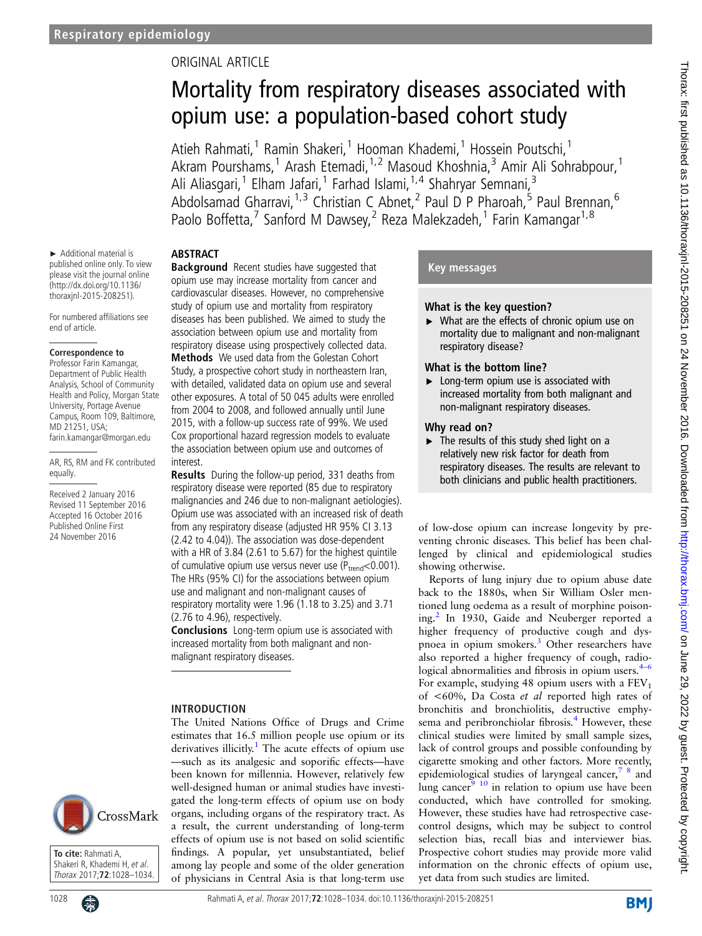# ORIGINAL ARTICLE

# Mortality from respiratory diseases associated with opium use: a population-based cohort study

Atieh Rahmati,<sup>1</sup> Ramin Shakeri,<sup>1</sup> Hooman Khademi,<sup>1</sup> Hossein Poutschi,<sup>1</sup> Akram Pourshams,<sup>1</sup> Arash Etemadi,<sup>1,2</sup> Masoud Khoshnia,<sup>3</sup> Amir Ali Sohrabpour,<sup>1</sup> Ali Aliasgari,<sup>1</sup> Elham Jafari,<sup>1</sup> Farhad Islami,<sup>1,4</sup> Shahryar Semnani,<sup>3</sup> Abdolsamad Gharravi,<sup>1,3</sup> Christian C Abnet,<sup>2</sup> Paul D P Pharoah,<sup>5</sup> Paul Brennan,<sup>6</sup> Paolo Boffetta,<sup>7</sup> Sanford M Dawsey,<sup>2</sup> Reza Malekzadeh,<sup>1</sup> Farin Kamangar<sup>1,8</sup>

# **ABSTRACT**

► Additional material is published online only. To view please visit the journal online (http://dx.doi.org/10.1136/ thoraxjnl-2015-208251).

For numbered affiliations see end of article.

#### **Correspondence to**

Professor Farin Kamangar, Department of Public Health Analysis, School of Community Health and Policy, Morgan State University, Portage Avenue Campus, Room 109, Baltimore, MD 21251, USA; farin.kamangar@morgan.edu

AR, RS, RM and FK contributed equally.

Received 2 January 2016 Revised 11 September 2016 Accepted 16 October 2016 Published Online First 24 November 2016

**Background** Recent studies have suggested that opium use may increase mortality from cancer and cardiovascular diseases. However, no comprehensive study of opium use and mortality from respiratory diseases has been published. We aimed to study the association between opium use and mortality from respiratory disease using prospectively collected data. Methods We used data from the Golestan Cohort Study, a prospective cohort study in northeastern Iran, with detailed, validated data on opium use and several other exposures. A total of 50 045 adults were enrolled from 2004 to 2008, and followed annually until June 2015, with a follow-up success rate of 99%. We used Cox proportional hazard regression models to evaluate the association between opium use and outcomes of interest.

Results During the follow-up period, 331 deaths from respiratory disease were reported (85 due to respiratory malignancies and 246 due to non-malignant aetiologies). Opium use was associated with an increased risk of death from any respiratory disease (adjusted HR 95% CI 3.13 (2.42 to 4.04)). The association was dose-dependent with a HR of 3.84 (2.61 to 5.67) for the highest quintile of cumulative opium use versus never use ( $P_{trend}$ <0.001). The HRs (95% CI) for the associations between opium use and malignant and non-malignant causes of respiratory mortality were 1.96 (1.18 to 3.25) and 3.71 (2.76 to 4.96), respectively.

Conclusions Long-term opium use is associated with increased mortality from both malignant and nonmalignant respiratory diseases.

The United Nations Office of Drugs and Crime

## INTRODUCTION

estimates that 16.5 million people use opium or its derivatives illicitly.<sup>[1](#page-5-0)</sup> The acute effects of opium use —such as its analgesic and soporific effects—have been known for millennia. However, relatively few well-designed human or animal studies have investigated the long-term effects of opium use on body organs, including organs of the respiratory tract. As a result, the current understanding of long-term effects of opium use is not based on solid scientific findings. A popular, yet unsubstantiated, belief among lay people and some of the older generation of physicians in Central Asia is that long-term use

# Key messages

## What is the key question?

▸ What are the effects of chronic opium use on mortality due to malignant and non-malignant respiratory disease?

# What is the bottom line?

▶ Long-term opium use is associated with increased mortality from both malignant and non-malignant respiratory diseases.

## Why read on?

▶ The results of this study shed light on a relatively new risk factor for death from respiratory diseases. The results are relevant to both clinicians and public health practitioners.

of low-dose opium can increase longevity by preventing chronic diseases. This belief has been challenged by clinical and epidemiological studies showing otherwise.

Reports of lung injury due to opium abuse date back to the 1880s, when Sir William Osler mentioned lung oedema as a result of morphine poison-ing.<sup>[2](#page-5-0)</sup> In 1930, Gaide and Neuberger reported a higher frequency of productive cough and dyspnoea in opium smokers.[3](#page-5-0) Other researchers have also reported a higher frequency of cough, radiological abnormalities and fibrosis in opium users. $4-6$  $4-6$ For example, studying 48 opium users with a  $FEV<sub>1</sub>$ of <60%, Da Costa et al reported high rates of bronchitis and bronchiolitis, destructive emphy-sema and peribronchiolar fibrosis.<sup>[4](#page-5-0)</sup> However, these clinical studies were limited by small sample sizes, lack of control groups and possible confounding by cigarette smoking and other factors. More recently, epidemiological studies of laryngeal cancer, $78$  and lung cancer $9^{-10}$  in relation to opium use have been conducted, which have controlled for smoking. However, these studies have had retrospective casecontrol designs, which may be subject to control selection bias, recall bias and interviewer bias. Prospective cohort studies may provide more valid information on the chronic effects of opium use, yet data from such studies are limited.



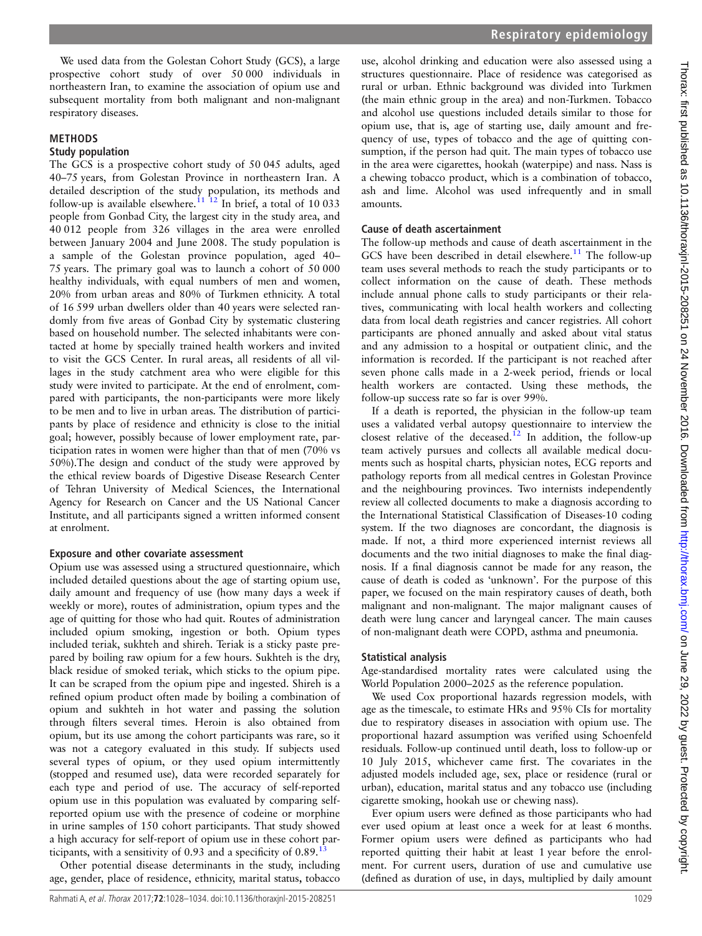We used data from the Golestan Cohort Study (GCS), a large prospective cohort study of over 50 000 individuals in northeastern Iran, to examine the association of opium use and subsequent mortality from both malignant and non-malignant respiratory diseases.

### METHODS

#### Study population

The GCS is a prospective cohort study of 50 045 adults, aged 40–75 years, from Golestan Province in northeastern Iran. A detailed description of the study population, its methods and follow-up is available elsewhere.<sup>[11 12](#page-5-0)</sup> In brief, a total of 10 033 people from Gonbad City, the largest city in the study area, and 40 012 people from 326 villages in the area were enrolled between January 2004 and June 2008. The study population is a sample of the Golestan province population, aged 40– 75 years. The primary goal was to launch a cohort of 50 000 healthy individuals, with equal numbers of men and women, 20% from urban areas and 80% of Turkmen ethnicity. A total of 16 599 urban dwellers older than 40 years were selected randomly from five areas of Gonbad City by systematic clustering based on household number. The selected inhabitants were contacted at home by specially trained health workers and invited to visit the GCS Center. In rural areas, all residents of all villages in the study catchment area who were eligible for this study were invited to participate. At the end of enrolment, compared with participants, the non-participants were more likely to be men and to live in urban areas. The distribution of participants by place of residence and ethnicity is close to the initial goal; however, possibly because of lower employment rate, participation rates in women were higher than that of men (70% vs 50%).The design and conduct of the study were approved by the ethical review boards of Digestive Disease Research Center of Tehran University of Medical Sciences, the International Agency for Research on Cancer and the US National Cancer Institute, and all participants signed a written informed consent at enrolment.

#### Exposure and other covariate assessment

Opium use was assessed using a structured questionnaire, which included detailed questions about the age of starting opium use, daily amount and frequency of use (how many days a week if weekly or more), routes of administration, opium types and the age of quitting for those who had quit. Routes of administration included opium smoking, ingestion or both. Opium types included teriak, sukhteh and shireh. Teriak is a sticky paste prepared by boiling raw opium for a few hours. Sukhteh is the dry, black residue of smoked teriak, which sticks to the opium pipe. It can be scraped from the opium pipe and ingested. Shireh is a refined opium product often made by boiling a combination of opium and sukhteh in hot water and passing the solution through filters several times. Heroin is also obtained from opium, but its use among the cohort participants was rare, so it was not a category evaluated in this study. If subjects used several types of opium, or they used opium intermittently (stopped and resumed use), data were recorded separately for each type and period of use. The accuracy of self-reported opium use in this population was evaluated by comparing selfreported opium use with the presence of codeine or morphine in urine samples of 150 cohort participants. That study showed a high accuracy for self-report of opium use in these cohort participants, with a sensitivity of 0.93 and a specificity of  $0.89$ .<sup>[13](#page-5-0)</sup>

Other potential disease determinants in the study, including age, gender, place of residence, ethnicity, marital status, tobacco

use, alcohol drinking and education were also assessed using a structures questionnaire. Place of residence was categorised as rural or urban. Ethnic background was divided into Turkmen (the main ethnic group in the area) and non-Turkmen. Tobacco and alcohol use questions included details similar to those for opium use, that is, age of starting use, daily amount and frequency of use, types of tobacco and the age of quitting consumption, if the person had quit. The main types of tobacco use in the area were cigarettes, hookah (waterpipe) and nass. Nass is a chewing tobacco product, which is a combination of tobacco, ash and lime. Alcohol was used infrequently and in small amounts.

#### Cause of death ascertainment

The follow-up methods and cause of death ascertainment in the GCS have been described in detail elsewhere.<sup>[11](#page-5-0)</sup> The follow-up team uses several methods to reach the study participants or to collect information on the cause of death. These methods include annual phone calls to study participants or their relatives, communicating with local health workers and collecting data from local death registries and cancer registries. All cohort participants are phoned annually and asked about vital status and any admission to a hospital or outpatient clinic, and the information is recorded. If the participant is not reached after seven phone calls made in a 2-week period, friends or local health workers are contacted. Using these methods, the follow-up success rate so far is over 99%.

If a death is reported, the physician in the follow-up team uses a validated verbal autopsy questionnaire to interview the closest relative of the deceased.<sup>[12](#page-5-0)</sup> In addition, the follow-up team actively pursues and collects all available medical documents such as hospital charts, physician notes, ECG reports and pathology reports from all medical centres in Golestan Province and the neighbouring provinces. Two internists independently review all collected documents to make a diagnosis according to the International Statistical Classification of Diseases-10 coding system. If the two diagnoses are concordant, the diagnosis is made. If not, a third more experienced internist reviews all documents and the two initial diagnoses to make the final diagnosis. If a final diagnosis cannot be made for any reason, the cause of death is coded as 'unknown'. For the purpose of this paper, we focused on the main respiratory causes of death, both malignant and non-malignant. The major malignant causes of death were lung cancer and laryngeal cancer. The main causes of non-malignant death were COPD, asthma and pneumonia.

#### Statistical analysis

Age-standardised mortality rates were calculated using the World Population 2000–2025 as the reference population.

We used Cox proportional hazards regression models, with age as the timescale, to estimate HRs and 95% CIs for mortality due to respiratory diseases in association with opium use. The proportional hazard assumption was verified using Schoenfeld residuals. Follow-up continued until death, loss to follow-up or 10 July 2015, whichever came first. The covariates in the adjusted models included age, sex, place or residence (rural or urban), education, marital status and any tobacco use (including cigarette smoking, hookah use or chewing nass).

Ever opium users were defined as those participants who had ever used opium at least once a week for at least 6 months. Former opium users were defined as participants who had reported quitting their habit at least 1 year before the enrolment. For current users, duration of use and cumulative use (defined as duration of use, in days, multiplied by daily amount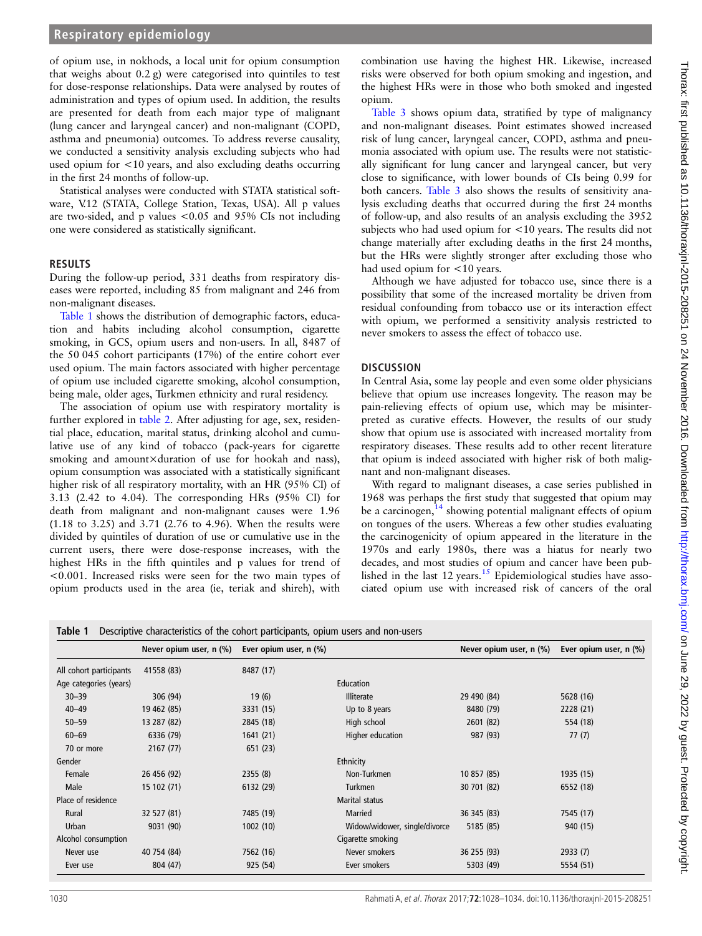## **Respiratory epidemiology**

of opium use, in nokhods, a local unit for opium consumption that weighs about 0.2 g) were categorised into quintiles to test for dose-response relationships. Data were analysed by routes of administration and types of opium used. In addition, the results are presented for death from each major type of malignant (lung cancer and laryngeal cancer) and non-malignant (COPD, asthma and pneumonia) outcomes. To address reverse causality, we conducted a sensitivity analysis excluding subjects who had used opium for <10 years, and also excluding deaths occurring in the first 24 months of follow-up.

Statistical analyses were conducted with STATA statistical software, V.12 (STATA, College Station, Texas, USA). All p values are two-sided, and p values <0.05 and 95% CIs not including one were considered as statistically significant.

#### RESULTS

During the follow-up period, 331 deaths from respiratory diseases were reported, including 85 from malignant and 246 from non-malignant diseases.

Table 1 shows the distribution of demographic factors, education and habits including alcohol consumption, cigarette smoking, in GCS, opium users and non-users. In all, 8487 of the 50 045 cohort participants (17%) of the entire cohort ever used opium. The main factors associated with higher percentage of opium use included cigarette smoking, alcohol consumption, being male, older ages, Turkmen ethnicity and rural residency.

The association of opium use with respiratory mortality is further explored in [table 2.](#page-3-0) After adjusting for age, sex, residential place, education, marital status, drinking alcohol and cumulative use of any kind of tobacco (pack-years for cigarette smoking and amount×duration of use for hookah and nass), opium consumption was associated with a statistically significant higher risk of all respiratory mortality, with an HR (95% CI) of 3.13 (2.42 to 4.04). The corresponding HRs (95% CI) for death from malignant and non-malignant causes were 1.96 (1.18 to 3.25) and 3.71 (2.76 to 4.96). When the results were divided by quintiles of duration of use or cumulative use in the current users, there were dose-response increases, with the highest HRs in the fifth quintiles and p values for trend of <0.001. Increased risks were seen for the two main types of opium products used in the area (ie, teriak and shireh), with

combination use having the highest HR. Likewise, increased risks were observed for both opium smoking and ingestion, and the highest HRs were in those who both smoked and ingested opium.

[Table 3](#page-4-0) shows opium data, stratified by type of malignancy and non-malignant diseases. Point estimates showed increased risk of lung cancer, laryngeal cancer, COPD, asthma and pneumonia associated with opium use. The results were not statistically significant for lung cancer and laryngeal cancer, but very close to significance, with lower bounds of CIs being 0.99 for both cancers. [Table 3](#page-4-0) also shows the results of sensitivity analysis excluding deaths that occurred during the first 24 months of follow-up, and also results of an analysis excluding the 3952 subjects who had used opium for <10 years. The results did not change materially after excluding deaths in the first 24 months, but the HRs were slightly stronger after excluding those who had used opium for  $\lt 10$  years.

Although we have adjusted for tobacco use, since there is a possibility that some of the increased mortality be driven from residual confounding from tobacco use or its interaction effect with opium, we performed a sensitivity analysis restricted to never smokers to assess the effect of tobacco use.

#### **DISCUSSION**

In Central Asia, some lay people and even some older physicians believe that opium use increases longevity. The reason may be pain-relieving effects of opium use, which may be misinterpreted as curative effects. However, the results of our study show that opium use is associated with increased mortality from respiratory diseases. These results add to other recent literature that opium is indeed associated with higher risk of both malignant and non-malignant diseases.

With regard to malignant diseases, a case series published in 1968 was perhaps the first study that suggested that opium may be a carcinogen, $^{14}$  $^{14}$  $^{14}$  showing potential malignant effects of opium on tongues of the users. Whereas a few other studies evaluating the carcinogenicity of opium appeared in the literature in the 1970s and early 1980s, there was a hiatus for nearly two decades, and most studies of opium and cancer have been pub-lished in the last 12 years.<sup>[15](#page-5-0)</sup> Epidemiological studies have associated opium use with increased risk of cancers of the oral

| <b>Table 1</b> Descriptive characteristics of the cohort participants, opium users and non-users |  |  |  |  |  |  |  |  |
|--------------------------------------------------------------------------------------------------|--|--|--|--|--|--|--|--|
|--------------------------------------------------------------------------------------------------|--|--|--|--|--|--|--|--|

|                         | Never opium user, n (%) | Ever opium user, n (%) |                               | Never opium user, n (%) | Ever opium user, n (%) |
|-------------------------|-------------------------|------------------------|-------------------------------|-------------------------|------------------------|
| All cohort participants | 41558 (83)              | 8487 (17)              |                               |                         |                        |
| Age categories (years)  |                         |                        | Education                     |                         |                        |
| $30 - 39$               | 306 (94)                | 19(6)                  | <b>Illiterate</b>             | 29 490 (84)             | 5628 (16)              |
| $40 - 49$               | 19 462 (85)             | 3331 (15)              | Up to 8 years                 | 8480 (79)               | 2228 (21)              |
| $50 - 59$               | 13 287 (82)             | 2845 (18)              | High school                   | 2601 (82)               | 554 (18)               |
| $60 - 69$               | 6336 (79)               | 1641(21)               | Higher education              | 987 (93)                | 77(7)                  |
| 70 or more              | 2167(77)                | 651 (23)               |                               |                         |                        |
| Gender                  |                         |                        | Ethnicity                     |                         |                        |
| Female                  | 26 456 (92)             | 2355(8)                | Non-Turkmen                   | 10 857 (85)             | 1935 (15)              |
| Male                    | 15 102 (71)             | 6132 (29)              | <b>Turkmen</b>                | 30 701 (82)             | 6552 (18)              |
| Place of residence      |                         |                        | Marital status                |                         |                        |
| Rural                   | 32 527 (81)             | 7485 (19)              | Married                       | 36 345 (83)             | 7545 (17)              |
| Urban                   | 9031 (90)               | 1002(10)               | Widow/widower, single/divorce | 5185 (85)               | 940 (15)               |
| Alcohol consumption     |                         |                        | Cigarette smoking             |                         |                        |
| Never use               | 40 754 (84)             | 7562 (16)              | Never smokers                 | 36 255 (93)             | 2933(7)                |
| Ever use                | 804 (47)                | 925 (54)               | Ever smokers                  | 5303 (49)               | 5554 (51)              |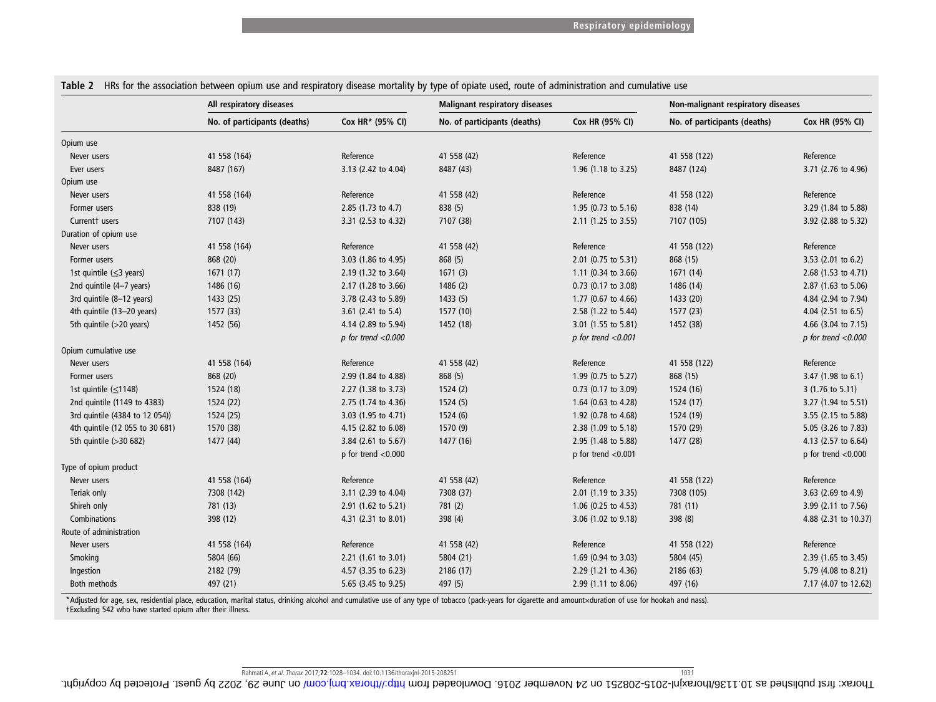|                                 | All respiratory diseases     |                               | <b>Malignant respiratory diseases</b> |                                | Non-malignant respiratory diseases |                            |
|---------------------------------|------------------------------|-------------------------------|---------------------------------------|--------------------------------|------------------------------------|----------------------------|
|                                 | No. of participants (deaths) | Cox HR* (95% CI)              | No. of participants (deaths)          | Cox HR (95% CI)                | No. of participants (deaths)       | Cox HR (95% CI)            |
| Opium use                       |                              |                               |                                       |                                |                                    |                            |
| Never users                     | 41 558 (164)                 | Reference                     | 41 558 (42)                           | Reference                      | 41 558 (122)                       | Reference                  |
| Ever users                      | 8487 (167)                   | 3.13 (2.42 to 4.04)           | 8487 (43)                             | 1.96 (1.18 to 3.25)            | 8487 (124)                         | 3.71 (2.76 to 4.96)        |
| Opium use                       |                              |                               |                                       |                                |                                    |                            |
| Never users                     | 41 558 (164)                 | Reference                     | 41 558 (42)                           | Reference                      | 41 558 (122)                       | Reference                  |
| Former users                    | 838 (19)                     | 2.85 (1.73 to 4.7)            | 838 (5)                               | 1.95 (0.73 to 5.16)            | 838 (14)                           | 3.29 (1.84 to 5.88)        |
| Currentt users                  | 7107 (143)                   | 3.31 (2.53 to 4.32)           | 7107 (38)                             | 2.11 (1.25 to 3.55)            | 7107 (105)                         | 3.92 (2.88 to 5.32)        |
| Duration of opium use           |                              |                               |                                       |                                |                                    |                            |
| Never users                     | 41 558 (164)                 | Reference                     | 41 558 (42)                           | Reference                      | 41 558 (122)                       | Reference                  |
| Former users                    | 868 (20)                     | 3.03 (1.86 to 4.95)           | 868 (5)                               | 2.01 (0.75 to 5.31)            | 868 (15)                           | 3.53 (2.01 to 6.2)         |
| 1st quintile $(\leq 3$ years)   | 1671(17)                     | 2.19 (1.32 to 3.64)           | 1671(3)                               | 1.11 $(0.34 \text{ to } 3.66)$ | 1671 (14)                          | 2.68 (1.53 to 4.71)        |
| 2nd quintile (4-7 years)        | 1486 (16)                    | 2.17 (1.28 to 3.66)           | 1486 (2)                              | 0.73 (0.17 to 3.08)            | 1486 (14)                          | 2.87 (1.63 to 5.06)        |
| 3rd quintile (8-12 years)       | 1433 (25)                    | 3.78 (2.43 to 5.89)           | 1433 (5)                              | 1.77 (0.67 to 4.66)            | 1433 (20)                          | 4.84 (2.94 to 7.94)        |
| 4th quintile (13-20 years)      | 1577 (33)                    | 3.61 $(2.41 \text{ to } 5.4)$ | 1577 (10)                             | 2.58 (1.22 to 5.44)            | 1577 (23)                          | 4.04 $(2.51$ to 6.5)       |
| 5th quintile (>20 years)        | 1452 (56)                    | 4.14 (2.89 to 5.94)           | 1452 (18)                             | 3.01 (1.55 to 5.81)            | 1452 (38)                          | 4.66 (3.04 to 7.15)        |
|                                 |                              | $p$ for trend < $0.000$       |                                       | $p$ for trend < $0.001$        |                                    | $p$ for trend < $0.000$    |
| Opium cumulative use            |                              |                               |                                       |                                |                                    |                            |
| Never users                     | 41 558 (164)                 | Reference                     | 41 558 (42)                           | Reference                      | 41 558 (122)                       | Reference                  |
| Former users                    | 868 (20)                     | 2.99 (1.84 to 4.88)           | 868 (5)                               | 1.99 (0.75 to 5.27)            | 868 (15)                           | 3.47 (1.98 to 6.1)         |
| 1st quintile $(\leq 1148)$      | 1524 (18)                    | 2.27 (1.38 to 3.73)           | 1524(2)                               | 0.73 (0.17 to 3.09)            | 1524 (16)                          | $3(1.76 \text{ to } 5.11)$ |
| 2nd quintile (1149 to 4383)     | 1524 (22)                    | 2.75 (1.74 to 4.36)           | 1524 (5)                              | 1.64 (0.63 to 4.28)            | 1524 (17)                          | 3.27 (1.94 to 5.51)        |
| 3rd quintile (4384 to 12 054))  | 1524 (25)                    | 3.03 (1.95 to 4.71)           | 1524(6)                               | 1.92 (0.78 to 4.68)            | 1524 (19)                          | 3.55 (2.15 to 5.88)        |
| 4th quintile (12 055 to 30 681) | 1570 (38)                    | 4.15 (2.82 to 6.08)           | 1570 (9)                              | 2.38 (1.09 to 5.18)            | 1570 (29)                          | 5.05 (3.26 to 7.83)        |
| 5th quintile (>30 682)          | 1477 (44)                    | 3.84 (2.61 to 5.67)           | 1477 (16)                             | 2.95 (1.48 to 5.88)            | 1477 (28)                          | 4.13 (2.57 to 6.64)        |
|                                 |                              | p for trend $<$ 0.000         |                                       | p for trend $<$ 0.001          |                                    | $p$ for trend < $0.000$    |
| Type of opium product           |                              |                               |                                       |                                |                                    |                            |
| Never users                     | 41 558 (164)                 | Reference                     | 41 558 (42)                           | Reference                      | 41 558 (122)                       | Reference                  |
| Teriak only                     | 7308 (142)                   | 3.11 (2.39 to 4.04)           | 7308 (37)                             | 2.01 (1.19 to 3.35)            | 7308 (105)                         | 3.63 (2.69 to 4.9)         |
| Shireh only                     | 781 (13)                     | 2.91 (1.62 to 5.21)           | 781 (2)                               | 1.06 (0.25 to 4.53)            | 781 (11)                           | 3.99 (2.11 to 7.56)        |
| Combinations                    | 398 (12)                     | 4.31 (2.31 to 8.01)           | 398 (4)                               | 3.06 (1.02 to 9.18)            | 398 (8)                            | 4.88 (2.31 to 10.37)       |
| Route of administration         |                              |                               |                                       |                                |                                    |                            |
| Never users                     | 41 558 (164)                 | Reference                     | 41 558 (42)                           | Reference                      | 41 558 (122)                       | Reference                  |
| Smoking                         | 5804 (66)                    | 2.21 (1.61 to 3.01)           | 5804 (21)                             | 1.69 (0.94 to 3.03)            | 5804 (45)                          | 2.39 (1.65 to 3.45)        |
| Ingestion                       | 2182 (79)                    | 4.57 (3.35 to 6.23)           | 2186 (17)                             | 2.29 (1.21 to 4.36)            | 2186 (63)                          | 5.79 (4.08 to 8.21)        |
| Both methods                    | 497 (21)                     | 5.65 (3.45 to 9.25)           | 497 (5)                               | 2.99 (1.11 to 8.06)            | 497 (16)                           | 7.17 (4.07 to 12.62)       |

<span id="page-3-0"></span>Table 2 HRs for the association between opium use and respiratory disease mortality by type of opiate used, route of administration and cumulative use

\*Adjusted for age, sex, residential place, education, marital status, drinking alcohol and cumulative use of any type of tobacco (pack-years for cigarette and amount×duration of use for hookah and nass).<br>†Excluding 542 who

1031 Rahmati A, et al. *Thora*x 2017;72:1028-1034. doi:10.1136/thoraxjnl-2015-208251<br>The Sammati A, et al. *Thorax 2017;12:1028-1034. doi:10.1136/thoraxjnl-2015-208251 (19th Corportion Stammer Depending Corportion Dependi*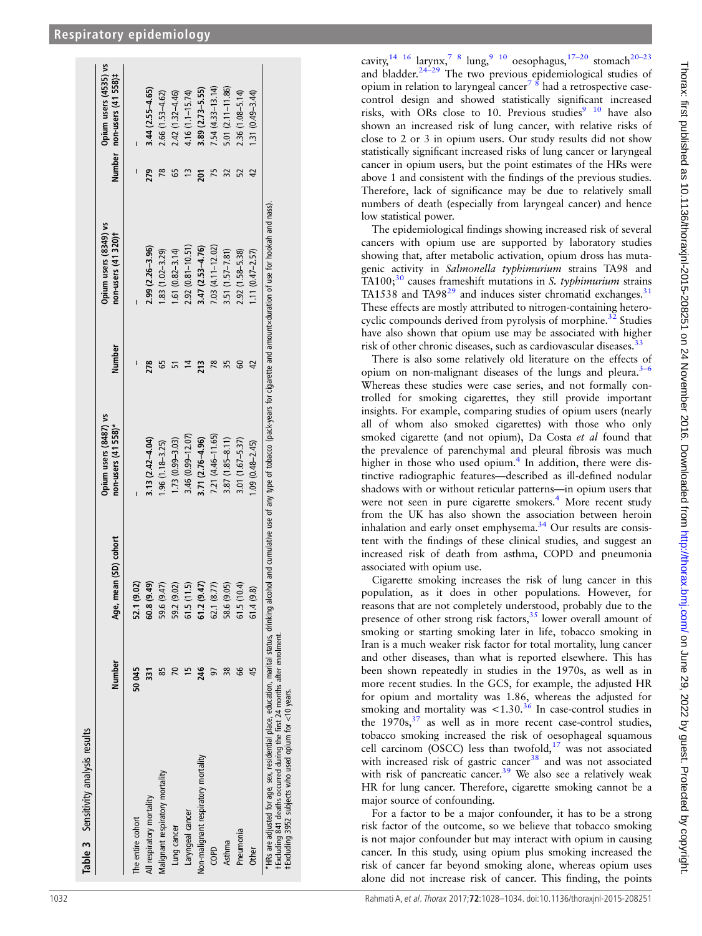<span id="page-4-0"></span>

|                                                           | Age, mean (SD) cohort | Opium users (8487) vs<br>non-users (41 558)* | Number | Opium users (8349) vs<br>non-users (41 320)+ |     | Opium users (4535) vs<br>Number non-users (41 558)# |
|-----------------------------------------------------------|-----------------------|----------------------------------------------|--------|----------------------------------------------|-----|-----------------------------------------------------|
| 52.1 (9.02)<br>50045<br>The entire cohort                 |                       |                                              |        |                                              |     |                                                     |
| 60.8 (9.49)<br>នា<br>All respiratory mortality            |                       | $3.13(2.42 - 4.04)$                          | 278    | $2.99(2.26 - 3.96)$                          | 279 | 3.44 (2.55-4.65)                                    |
| 59.6 (9.47)<br>Malignant respiratory mortality            |                       | $1.96(1.18 - 3.25)$                          |        | $.83(1.02 - 3.29)$                           |     | $2.66(1.53 - 4.62)$                                 |
| 59.2 (9.02)<br>Lung cancer                                |                       | 1.73 (0.99-3.03)                             |        | $.61(0.82 - 3.14)$                           | 55  | 2.42 (1.32-4.46)                                    |
| 61.5(11.5)<br>Laryngeal cancer                            |                       | $3.46(0.99 - 12.07)$                         |        | $2.92(0.81 - 10.51)$                         |     | $4.16(1.1 - 15.74)$                                 |
| 61.2 (9.47)<br>246<br>Non-malignant respiratory mortality |                       | 3.71 (2.76-4.96)                             | 213    | 3.47 (2.53-4.76)                             |     | 3.89 (2.73-5.55)                                    |
| 62.1 (8.77)<br>GeO                                        |                       | 7.21 (4.46-11.65)                            |        | 7.03 (4.11-12.02)                            |     | $7.54(4.33 - 13.14)$                                |
| 58.6 (9.05)<br>38<br>Asthma                               |                       | $3.87(1.85 - 8.11)$                          |        | $3.51(1.57 - 7.81)$                          |     | $5.01(2.11 - 11.86)$                                |
| 61.5(10.4)<br>99<br>Pneumonia                             |                       | 3.01 (1.67-5.37)                             |        | 2.92 (1.58-5.38)                             | 52  | 2.36 (1.08-5.14)                                    |
| 61.4(9.8)<br>45<br><b>Other</b>                           |                       | $1.09(0.48 - 2.45)$                          |        | $1.11(0.47 - 2.57)$                          | 42  | $1.31(0.49 - 3.44)$                                 |

cavity,  $14 \times 16$  larynx,  $7 \times 8$  lung,  $9 \times 10$  oesophagus,  $17-20$  $17-20$  $17-20$  stomach  $20-23$ and bladder.<sup>[24](#page-5-0)-29</sup> The two previous epidemiological studies of opium in relation to laryngeal cancer<sup>[7 8](#page-5-0)</sup> had a retrospective casecontrol design and showed statistically significant increased risks, with ORs close to 10. Previous studies<sup>9</sup> <sup>10</sup> have also shown an increased risk of lung cancer, with relative risks of close to 2 or 3 in opium users. Our study results did not show statistically signi ficant increased risks of lung cancer or laryngeal cancer in opium users, but the point estimates of the HRs were above 1 and consistent with the findings of the previous studies. Therefore, lack of signi ficance may be due to relatively small numbers of death (especially from laryngeal cancer) and hence low statistical power.

The epidemiological findings showing increased risk of several cancers with opium use are supported by laboratory studies showing that, after metabolic activation, opium dross has mutagenic activity in Salmonella typhimurium strains TA98 and TA100; $30$  causes frameshift mutations in S. typhimurium strains TA1538 and TA98<sup>[29](#page-6-0)</sup> and induces sister chromatid exchanges.<sup>[31](#page-6-0)</sup> These effects are mostly attributed to nitrogen-containing heterocyclic compounds derived from pyrolysis of morphine. $32$  Studies have also shown that opium use may be associated with higher risk of other chronic diseases, such as cardiovascular diseases.<sup>[33](#page-6-0)</sup>

There is also some relatively old literature on the effects of opium on non-malignant diseases of the lungs and pleura.<sup>[3](#page-5-0)-6</sup> Whereas these studies were case series, and not formally controlled for smoking cigarettes, they still provide important insights. For example, comparing studies of opium users (nearly all of whom also smoked cigarettes) with those who only smoked cigarette (and not opium), Da Costa et al found that the prevalence of parenchymal and pleural fibrosis was much higher in those who used opium. [4](#page-5-0) In addition, there were distinctive radiographic features—described as ill-defined nodular shadows with or without reticular patterns —in opium users that were not seen in pure cigarette smokers. [4](#page-5-0) More recent study from the UK has also shown the association between heroin inhalation and early onset emphysema. $34$  Our results are consistent with the findings of these clinical studies, and suggest an increased risk of death from asthma, COPD and pneumonia associated with opium use.

Cigarette smoking increases the risk of lung cancer in this population, as it does in other populations. However, for reasons that are not completely understood, probably due to the presence of other strong risk factors, $35$  lower overall amount of smoking or starting smoking later in life, tobacco smoking in Iran is a much weaker risk factor for total mortality, lung cancer and other diseases, than what is reported elsewhere. This has been shown repeatedly in studies in the 1970s, as well as in more recent studies. In the GCS, for example, the adjusted HR for opium and mortality was 1.86, whereas the adjusted for smoking and mortality was  $\lt 1.30^{36}$  $\lt 1.30^{36}$  $\lt 1.30^{36}$  In case-control studies in the  $1970s$ ,  $37$  as well as in more recent case-control studies, tobacco smoking increased the risk of oesophageal squamous cell carcinom (OSCC) less than twofold, $17$  was not associated with increased risk of gastric cancer<sup>[38](#page-6-0)</sup> and was not associated with risk of pancreatic cancer.<sup>[39](#page-6-0)</sup> We also see a relatively weak HR for lung cancer. Therefore, cigarette smoking cannot be a major source of confounding.

For a factor to be a major confounder, it has to be a strong risk factor of the outcome, so we believe that tobacco smoking is not major confounder but may interact with opium in causing cancer. In this study, using opium plus smoking increased the risk of cancer far beyond smoking alone, whereas opium uses alone did not increase risk of cancer. This finding, the points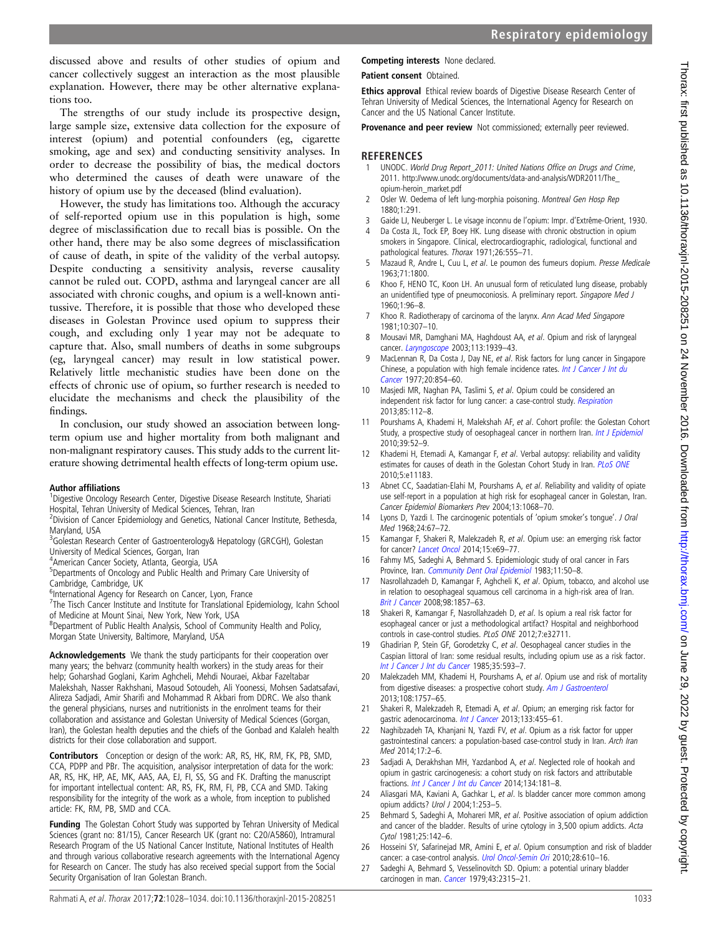<span id="page-5-0"></span>discussed above and results of other studies of opium and cancer collectively suggest an interaction as the most plausible explanation. However, there may be other alternative explanations too.

The strengths of our study include its prospective design, large sample size, extensive data collection for the exposure of interest (opium) and potential confounders (eg, cigarette smoking, age and sex) and conducting sensitivity analyses. In order to decrease the possibility of bias, the medical doctors who determined the causes of death were unaware of the history of opium use by the deceased (blind evaluation).

However, the study has limitations too. Although the accuracy of self-reported opium use in this population is high, some degree of misclassification due to recall bias is possible. On the other hand, there may be also some degrees of misclassification of cause of death, in spite of the validity of the verbal autopsy. Despite conducting a sensitivity analysis, reverse causality cannot be ruled out. COPD, asthma and laryngeal cancer are all associated with chronic coughs, and opium is a well-known antitussive. Therefore, it is possible that those who developed these diseases in Golestan Province used opium to suppress their cough, and excluding only 1 year may not be adequate to capture that. Also, small numbers of deaths in some subgroups (eg, laryngeal cancer) may result in low statistical power. Relatively little mechanistic studies have been done on the effects of chronic use of opium, so further research is needed to elucidate the mechanisms and check the plausibility of the findings.

In conclusion, our study showed an association between longterm opium use and higher mortality from both malignant and non-malignant respiratory causes. This study adds to the current literature showing detrimental health effects of long-term opium use.

#### Author affiliations <sup>1</sup>

<sup>1</sup>Digestive Oncology Research Center, Digestive Disease Research Institute, Shariati Hospital, Tehran University of Medical Sciences, Tehran, Iran

<sup>2</sup> Division of Cancer Epidemiology and Genetics, National Cancer Institute, Bethesda, Maryland, USA

<sup>3</sup>Golestan Research Center of Gastroenterology& Hepatology (GRCGH), Golestan University of Medical Sciences, Gorgan, Iran

4 American Cancer Society, Atlanta, Georgia, USA

<sup>5</sup>Departments of Oncology and Public Health and Primary Care University of Cambridge, Cambridge, UK

<sup>6</sup>International Agency for Research on Cancer, Lyon, France

<sup>7</sup>The Tisch Cancer Institute and Institute for Translational Epidemiology, Icahn School of Medicine at Mount Sinai, New York, New York, USA

<sup>8</sup>Department of Public Health Analysis, School of Community Health and Policy, Morgan State University, Baltimore, Maryland, USA

Acknowledgements We thank the study participants for their cooperation over many years; the behvarz (community health workers) in the study areas for their help; Goharshad Goglani, Karim Aghcheli, Mehdi Nouraei, Akbar Fazeltabar Malekshah, Nasser Rakhshani, Masoud Sotoudeh, Ali Yoonessi, Mohsen Sadatsafavi, Alireza Sadjadi, Amir Sharifi and Mohammad R Akbari from DDRC. We also thank the general physicians, nurses and nutritionists in the enrolment teams for their collaboration and assistance and Golestan University of Medical Sciences (Gorgan, Iran), the Golestan health deputies and the chiefs of the Gonbad and Kalaleh health districts for their close collaboration and support.

Contributors Conception or design of the work: AR, RS, HK, RM, FK, PB, SMD, CCA, PDPP and PBr. The acquisition, analysisor interpretation of data for the work: AR, RS, HK, HP, AE, MK, AAS, AA, EJ, FI, SS, SG and FK. Drafting the manuscript for important intellectual content: AR, RS, FK, RM, FI, PB, CCA and SMD. Taking responsibility for the integrity of the work as a whole, from inception to published article: FK, RM, PB, SMD and CCA.

Funding The Golestan Cohort Study was supported by Tehran University of Medical Sciences (grant no: 81/15), Cancer Research UK (grant no: C20/A5860), Intramural Research Program of the US National Cancer Institute, National Institutes of Health and through various collaborative research agreements with the International Agency for Research on Cancer. The study has also received special support from the Social Security Organisation of Iran Golestan Branch.

## Competing interests None declared.

Patient consent Obtained.

Ethics approval Ethical review boards of Digestive Disease Research Center of Tehran University of Medical Sciences, the International Agency for Research on Cancer and the US National Cancer Institute.

Provenance and peer review Not commissioned; externally peer reviewed.

# **REFERENCES**

- 1 UNODC. World Drug Report\_2011: United Nations Office on Drugs and Crime, 2011. [http://www.unodc.org/documents/data-and-analysis/WDR2011/The\\_](http://www.unodc.org/documents/data-and-analysis/WDR2011/The_opium-heroin_market.pdf) [opium-heroin\\_market.pdf](http://www.unodc.org/documents/data-and-analysis/WDR2011/The_opium-heroin_market.pdf)
- 2 Osler W. Oedema of left lung-morphia poisoning. Montreal Gen Hosp Rep 1880;1:291.
- 3 Gaide LJ, Neuberger L. Le visage inconnu de l'opium: Impr. d'Extrême-Orient, 1930.
- Da Costa JL, Tock EP, Boey HK. Lung disease with chronic obstruction in opium smokers in Singapore. Clinical, electrocardiographic, radiological, functional and pathological features. Thorax 1971;26:555–71.
- 5 Mazaud R, Andre L, Cuu L, et al. Le poumon des fumeurs dopium. Presse Medicale 1963;71:1800.
- 6 Khoo F, HENO TC, Koon LH. An unusual form of reticulated lung disease, probably an unidentified type of pneumoconiosis. A preliminary report. Singapore Med J 1960;1:96–8.
- 7 Khoo R. Radiotherapy of carcinoma of the larynx. Ann Acad Med Singapore 1981;10:307–10.
- 8 Mousavi MR, Damghani MA, Haghdoust AA, et al. Opium and risk of laryngeal cancer. [Laryngoscope](http://dx.doi.org/10.1097/00005537-200311000-00016) 2003;113:1939–43.
- MacLennan R, Da Costa J, Day NE, et al. Risk factors for lung cancer in Singapore Chinese, a population with high female incidence rates. [Int J Cancer J Int du](http://dx.doi.org/10.1002/ijc.2910200606) [Cancer](http://dx.doi.org/10.1002/ijc.2910200606) 1977;20:854–60.
- Masjedi MR, Naghan PA, Taslimi S, et al. Opium could be considered an independent risk factor for lung cancer: a case-control study. [Respiration](http://dx.doi.org/10.1159/000338559) 2013;85:112–8.
- 11 Pourshams A, Khademi H, Malekshah AF, et al. Cohort profile: the Golestan Cohort Study, a prospective study of oesophageal cancer in northern Iran. [Int J Epidemiol](http://dx.doi.org/10.1093/ije/dyp161) 2010;39:52–9.
- 12 Khademi H, Etemadi A, Kamangar F, et al. Verbal autopsy: reliability and validity estimates for causes of death in the Golestan Cohort Study in Iran. PLOS ONE 2010;5:e11183.
- 13 Abnet CC, Saadatian-Elahi M, Pourshams A, et al. Reliability and validity of opiate use self-report in a population at high risk for esophageal cancer in Golestan, Iran. Cancer Epidemiol Biomarkers Prev 2004;13:1068–70.
- Lyons D, Yazdi I. The carcinogenic potentials of 'opium smoker's tongue'. J Oral Med 1968;24:67–72.
- 15 Kamangar F, Shakeri R, Malekzadeh R, et al. Opium use: an emerging risk factor for cancer? [Lancet Oncol](http://dx.doi.org/10.1016/S1470-2045(13)70550-3) 2014;15:e69–77.
- 16 Fahmy MS, Sadeghi A, Behmard S. Epidemiologic study of oral cancer in Fars Province, Iran. [Community Dent Oral Epidemiol](http://dx.doi.org/10.1111/j.1600-0528.1983.tb01354.x) 1983;11:50-8.
- 17 Nasrollahzadeh D, Kamangar F, Aghcheli K, et al. Opium, tobacco, and alcohol use in relation to oesophageal squamous cell carcinoma in a high-risk area of Iran. [Brit J Cancer](http://dx.doi.org/10.1038/sj.bjc.6604369) 2008;98:1857–63.
- 18 Shakeri R, Kamangar F, Nasrollahzadeh D, et al. Is opium a real risk factor for esophageal cancer or just a methodological artifact? Hospital and neighborhood controls in case-control studies. PLoS ONE 2012;7:e32711.
- Ghadirian P, Stein GF, Gorodetzky C, et al. Oesophageal cancer studies in the Caspian littoral of Iran: some residual results, including opium use as a risk factor. [Int J Cancer J Int du Cancer](http://dx.doi.org/10.1002/ijc.2910350505) 1985;35:593-7.
- 20 Malekzadeh MM, Khademi H, Pourshams A, et al. Opium use and risk of mortality from digestive diseases: a prospective cohort study. [Am J Gastroenterol](http://dx.doi.org/10.1038/ajg.2013.336) 2013;108:1757–65.
- 21 Shakeri R, Malekzadeh R, Etemadi A, et al. Opium; an emerging risk factor for gastric adenocarcinoma. [Int J Cancer](http://dx.doi.org/10.1002/ijc.28018) 2013;133:455-61.
- 22 Naghibzadeh TA, Khanjani N, Yazdi FV, et al. Opium as a risk factor for upper gastrointestinal cancers: a population-based case-control study in Iran. Arch Iran Med 2014;17:2–6.
- 23 Sadjadi A, Derakhshan MH, Yazdanbod A, et al. Neglected role of hookah and opium in gastric carcinogenesis: a cohort study on risk factors and attributable fractions. [Int J Cancer J Int du Cancer](http://dx.doi.org/10.1002/ijc.28344) 2014;134:181–8.
- 24 Aliasgari MA, Kaviani A, Gachkar L, et al. Is bladder cancer more common among opium addicts? Urol J 2004;1:253–5.
- 25 Behmard S, Sadeghi A, Mohareri MR, et al. Positive association of opium addiction and cancer of the bladder. Results of urine cytology in 3,500 opium addicts. Acta Cytol 1981;25:142–6.
- 26 Hosseini SY, Safarinejad MR, Amini E, et al. Opium consumption and risk of bladder cancer: a case-control analysis. [Urol Oncol-Semin Ori](http://dx.doi.org/10.1016/j.urolonc.2008.10.016) 2010;28:610-16.
- 27 Sadeghi A, Behmard S, Vesselinovitch SD. Opium: a potential urinary bladder carcinogen in man. [Cancer](http://dx.doi.org/10.1002/1097-0142(197906)43:6<2315::AID-CNCR2820430622>3.0.CO;2-J) 1979;43:2315-21.